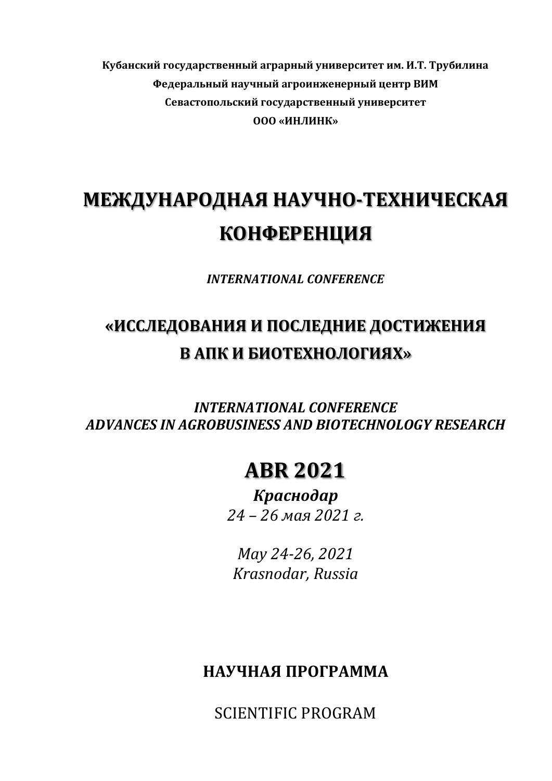**Кубанский государственный аграрный университет им. И.Т. Трубилина Федеральный научный агроинженерный центр ВИМ Севастопольский государственный университет ООО «ИНЛИНК»**

# **МЕЖДУНАРОДНАЯ НАУЧНО-ТЕХНИЧЕСКАЯ КОНФЕРЕНЦИЯ**

*INTERNATIONAL CONFERENCE*

## **«ИССЛЕДОВАНИЯ И ПОСЛЕДНИЕ ДОСТИЖЕНИЯ В АПК И БИОТЕХНОЛОГИЯХ»**

*INTERNATIONAL CONFERENCE ADVANCES IN AGROBUSINESS AND BIOTECHNOLOGY RESEARCH*

### **ABR 2021**

*Краснодар 24 – 26 мая 2021 г.*

*May 24-26, 2021 Krasnodar, Russia*

### **НАУЧНАЯ ПРОГРАММА**

SCIENTIFIC PROGRAM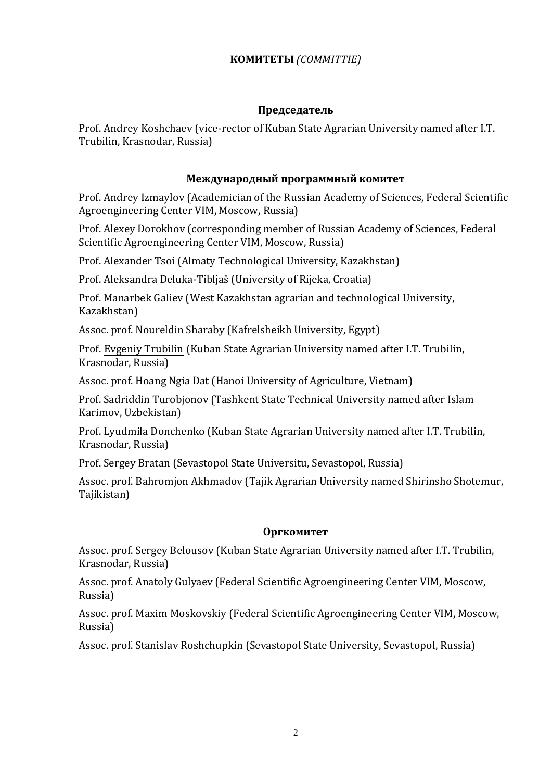#### **КОМИТЕТЫ** *(COMMITTIE)*

#### **Председатель**

Prof. Andrey Koshchaev (vice-rector of Kuban State Agrarian University named after I.T. Trubilin, Krasnodar, Russia)

#### **Международный программный комитет**

Prof. Andrey Izmaylov (Academician of the Russian Academy of Sciences, Federal Scientific Agroengineering Center VIM, Moscow, Russia)

Prof. Alexey Dorokhov (corresponding member of Russian Academy of Sciences, Federal Scientific Agroengineering Center VIM, Moscow, Russia)

Prof. Alexander Tsoi (Almaty Technological University, Kazakhstan)

Prof. Aleksandra Deluka-Tibljaš (University of Rijeka, Croatia)

Prof. Manarbek Galiev (West Kazakhstan agrarian and technological University, Kazakhstan)

Assoc. prof. Noureldin Sharaby (Kafrelsheikh University, Egypt)

Prof. Evgeniy Trubilin (Kuban State Agrarian University named after I.T. Trubilin, Krasnodar, Russia)

Assoc. prof. Hoang Ngia Dat (Hanoi University of Agriculture, Vietnam)

Prof. Sadriddin Turobjonov (Tashkent State Technical University named after Islam Karimov, Uzbekistan)

Prof. Lyudmila Donchenko (Kuban State Agrarian University named after I.T. Trubilin, Krasnodar, Russia)

Prof. Sergey Bratan (Sevastopol State Universitu, Sevastopol, Russia)

Assoc. prof. Bahromjon Akhmadov (Tajik Agrarian University named Shirinsho Shotemur, Tajikistan)

#### **Оргкомитет**

Assoc. prof. Sergey Belousov (Kuban State Agrarian University named after I.T. Trubilin, Krasnodar, Russia)

Assoc. prof. Anatoly Gulyaev (Federal Scientific Agroengineering Center VIM, Moscow, Russia)

Assoc. prof. Maxim Moskovskiy (Federal Scientific Agroengineering Center VIM, Moscow, Russia)

Assoc. prof. Stanislav Roshchupkin (Sevastopol State University, Sevastopol, Russia)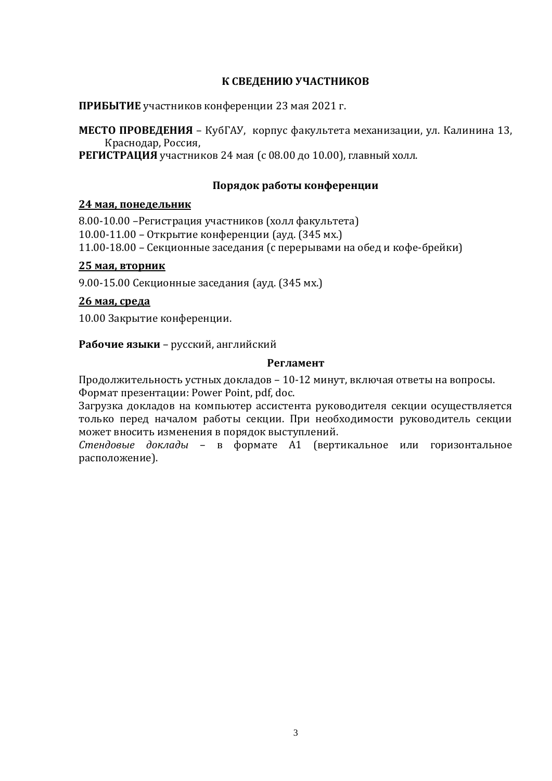#### **К СВЕДЕНИЮ УЧАСТНИКОВ**

**ПРИБЫТИЕ** участников конференции 23 мая 2021 г.

**МЕСТО ПРОВЕДЕНИЯ** – КубГАУ, корпус факультета механизации, ул. Калинина 13, Краснодар, Россия,

**РЕГИСТРАЦИЯ** участников 24 мая (с 08.00 до 10.00), главный холл.

#### **Порядок работы конференции**

#### **24 мая, понедельник**

8.00-10.00 –Регистрация участников (холл факультета) 10.00-11.00 – Открытие конференции (ауд. (345 мх.) 11.00-18.00 – Секционные заседания (с перерывами на обед и кофе-брейки)

#### **25 мая, вторник**

9.00-15.00 Секционные заседания (ауд. (345 мх.)

#### **26 мая, среда**

10.00 Закрытие конференции.

**Рабочие языки** – русский, английский

#### **Регламент**

Продолжительность устных докладов – 10-12 минут, включая ответы на вопросы. Формат презентации: Power Point, pdf, doc.

Загрузка докладов на компьютер ассистента руководителя секции осуществляется только перед началом работы секции. При необходимости руководитель секции может вносить изменения в порядок выступлений.

*Стендовые доклады* – в формате А1 (вертикальное или горизонтальное расположение).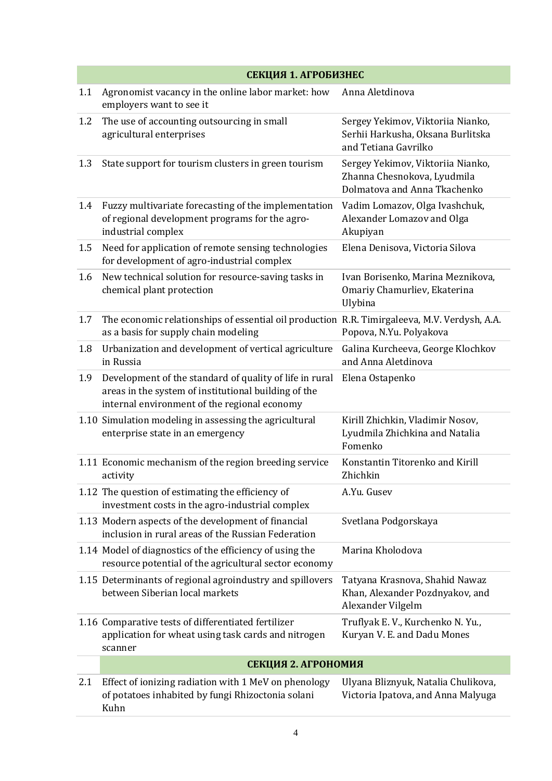|     | СЕКЦИЯ 1. АГРОБИЗНЕС                                                                                                                                            |                                                                                                  |
|-----|-----------------------------------------------------------------------------------------------------------------------------------------------------------------|--------------------------------------------------------------------------------------------------|
| 1.1 | Agronomist vacancy in the online labor market: how<br>employers want to see it                                                                                  | Anna Aletdinova                                                                                  |
| 1.2 | The use of accounting outsourcing in small<br>agricultural enterprises                                                                                          | Sergey Yekimov, Viktoriia Nianko,<br>Serhii Harkusha, Oksana Burlitska<br>and Tetiana Gavrilko   |
| 1.3 | State support for tourism clusters in green tourism                                                                                                             | Sergey Yekimov, Viktoriia Nianko,<br>Zhanna Chesnokova, Lyudmila<br>Dolmatova and Anna Tkachenko |
| 1.4 | Fuzzy multivariate forecasting of the implementation<br>of regional development programs for the agro-<br>industrial complex                                    | Vadim Lomazov, Olga Ivashchuk,<br>Alexander Lomazov and Olga<br>Akupiyan                         |
| 1.5 | Need for application of remote sensing technologies<br>for development of agro-industrial complex                                                               | Elena Denisova, Victoria Silova                                                                  |
| 1.6 | New technical solution for resource-saving tasks in<br>chemical plant protection                                                                                | Ivan Borisenko, Marina Meznikova,<br>Omariy Chamurliev, Ekaterina<br>Ulybina                     |
| 1.7 | The economic relationships of essential oil production R.R. Timirgaleeva, M.V. Verdysh, A.A.<br>as a basis for supply chain modeling                            | Popova, N.Yu. Polyakova                                                                          |
| 1.8 | Urbanization and development of vertical agriculture<br>in Russia                                                                                               | Galina Kurcheeva, George Klochkov<br>and Anna Aletdinova                                         |
| 1.9 | Development of the standard of quality of life in rural<br>areas in the system of institutional building of the<br>internal environment of the regional economy | Elena Ostapenko                                                                                  |
|     | 1.10 Simulation modeling in assessing the agricultural<br>enterprise state in an emergency                                                                      | Kirill Zhichkin, Vladimir Nosov,<br>Lyudmila Zhichkina and Natalia<br>Fomenko                    |
|     | 1.11 Economic mechanism of the region breeding service<br>activity                                                                                              | Konstantin Titorenko and Kirill<br>Zhichkin                                                      |
|     | 1.12 The question of estimating the efficiency of<br>investment costs in the agro-industrial complex                                                            | A.Yu. Gusev                                                                                      |
|     | 1.13 Modern aspects of the development of financial<br>inclusion in rural areas of the Russian Federation                                                       | Svetlana Podgorskaya                                                                             |
|     | 1.14 Model of diagnostics of the efficiency of using the<br>resource potential of the agricultural sector economy                                               | Marina Kholodova                                                                                 |
|     | 1.15 Determinants of regional agroindustry and spillovers<br>between Siberian local markets                                                                     | Tatyana Krasnova, Shahid Nawaz<br>Khan, Alexander Pozdnyakov, and<br>Alexander Vilgelm           |
|     | 1.16 Comparative tests of differentiated fertilizer<br>application for wheat using task cards and nitrogen<br>scanner                                           | Truflyak E.V., Kurchenko N.Yu.,<br>Kuryan V. E. and Dadu Mones                                   |
|     | СЕКЦИЯ 2. АГРОНОМИЯ                                                                                                                                             |                                                                                                  |
| 2.1 | Effect of ionizing radiation with 1 MeV on phenology<br>of potatoes inhabited by fungi Rhizoctonia solani<br>Kuhn                                               | Ulyana Bliznyuk, Natalia Chulikova,<br>Victoria Ipatova, and Anna Malyuga                        |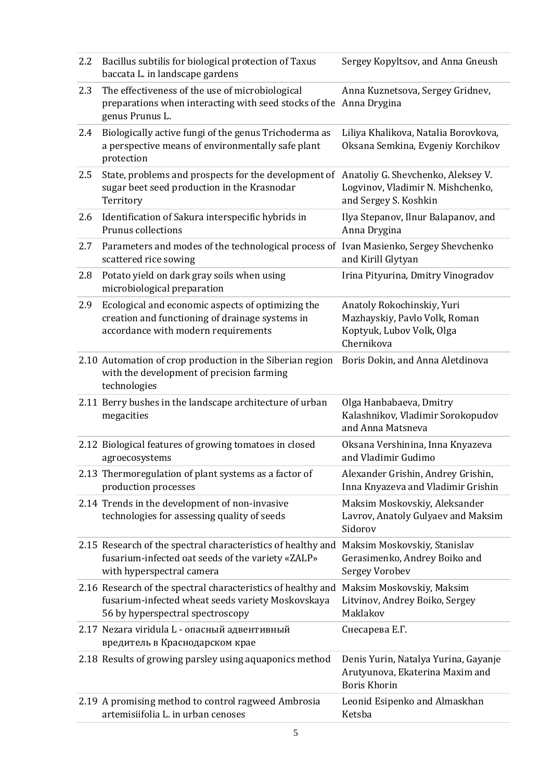| 2.2 | Bacillus subtilis for biological protection of Taxus<br>baccata L. in landscape gardens                                                               | Sergey Kopyltsov, and Anna Gneush                                                                      |
|-----|-------------------------------------------------------------------------------------------------------------------------------------------------------|--------------------------------------------------------------------------------------------------------|
| 2.3 | The effectiveness of the use of microbiological<br>preparations when interacting with seed stocks of the Anna Drygina<br>genus Prunus L.              | Anna Kuznetsova, Sergey Gridnev,                                                                       |
| 2.4 | Biologically active fungi of the genus Trichoderma as<br>a perspective means of environmentally safe plant<br>protection                              | Liliya Khalikova, Natalia Borovkova,<br>Oksana Semkina, Evgeniy Korchikov                              |
| 2.5 | State, problems and prospects for the development of<br>sugar beet seed production in the Krasnodar<br>Territory                                      | Anatoliy G. Shevchenko, Aleksey V.<br>Logvinov, Vladimir N. Mishchenko,<br>and Sergey S. Koshkin       |
| 2.6 | Identification of Sakura interspecific hybrids in<br>Prunus collections                                                                               | Ilya Stepanov, Ilnur Balapanov, and<br>Anna Drygina                                                    |
| 2.7 | Parameters and modes of the technological process of Ivan Masienko, Sergey Shevchenko<br>scattered rice sowing                                        | and Kirill Glytyan                                                                                     |
| 2.8 | Potato yield on dark gray soils when using<br>microbiological preparation                                                                             | Irina Pityurina, Dmitry Vinogradov                                                                     |
| 2.9 | Ecological and economic aspects of optimizing the<br>creation and functioning of drainage systems in<br>accordance with modern requirements           | Anatoly Rokochinskiy, Yuri<br>Mazhayskiy, Pavlo Volk, Roman<br>Koptyuk, Lubov Volk, Olga<br>Chernikova |
|     | 2.10 Automation of crop production in the Siberian region<br>with the development of precision farming<br>technologies                                | Boris Dokin, and Anna Aletdinova                                                                       |
|     | 2.11 Berry bushes in the landscape architecture of urban<br>megacities                                                                                | Olga Hanbabaeva, Dmitry<br>Kalashnikov, Vladimir Sorokopudov<br>and Anna Matsneva                      |
|     | 2.12 Biological features of growing tomatoes in closed<br>agroecosystems                                                                              | Oksana Vershinina, Inna Knyazeva<br>and Vladimir Gudimo                                                |
|     | 2.13 Thermoregulation of plant systems as a factor of<br>production processes                                                                         | Alexander Grishin, Andrey Grishin,<br>Inna Knyazeva and Vladimir Grishin                               |
|     | 2.14 Trends in the development of non-invasive<br>technologies for assessing quality of seeds                                                         | Maksim Moskovskiy, Aleksander<br>Lavrov, Anatoly Gulyaev and Maksim<br>Sidorov                         |
|     | 2.15 Research of the spectral characteristics of healthy and<br>fusarium-infected oat seeds of the variety «ZALP»<br>with hyperspectral camera        | Maksim Moskovskiy, Stanislav<br>Gerasimenko, Andrey Boiko and<br><b>Sergey Vorobev</b>                 |
|     | 2.16 Research of the spectral characteristics of healthy and<br>fusarium-infected wheat seeds variety Moskovskaya<br>56 by hyperspectral spectroscopy | Maksim Moskovskiy, Maksim<br>Litvinov, Andrey Boiko, Sergey<br>Maklakov                                |
|     | 2.17 Nezara viridula L - опасный адвентивный<br>вредитель в Краснодарском крае                                                                        | Снесарева Е.Г.                                                                                         |
|     | 2.18 Results of growing parsley using aquaponics method                                                                                               | Denis Yurin, Natalya Yurina, Gayanje<br>Arutyunova, Ekaterina Maxim and<br><b>Boris Khorin</b>         |
|     | 2.19 A promising method to control ragweed Ambrosia<br>artemisiifolia L. in urban cenoses                                                             | Leonid Esipenko and Almaskhan<br>Ketsba                                                                |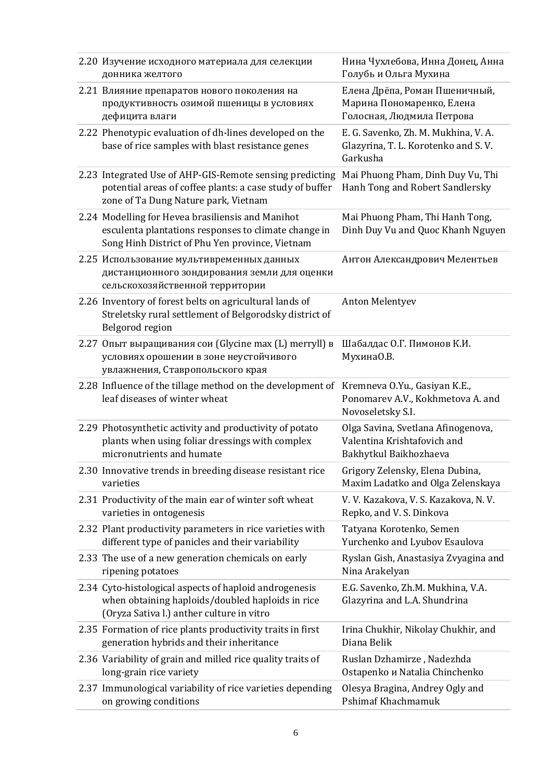| 2.20 Изучение исходного материала для селекции<br>донника желтого                                                                                            | Нина Чухлебова, Инна Донец, Анна<br>Голубь и Ольга Мухина                                   |
|--------------------------------------------------------------------------------------------------------------------------------------------------------------|---------------------------------------------------------------------------------------------|
| 2.21 Влияние препаратов нового поколения на<br>продуктивность озимой пшеницы в условиях<br>дефицита влаги                                                    | Елена Дрёпа, Роман Пшеничный,<br>Марина Пономаренко, Елена<br>Голосная, Людмила Петрова     |
| 2.22 Phenotypic evaluation of dh-lines developed on the<br>base of rice samples with blast resistance genes                                                  | E. G. Savenko, Zh. M. Mukhina, V. A.<br>Glazyrina, T. L. Korotenko and S. V.<br>Garkusha    |
| 2.23 Integrated Use of AHP-GIS-Remote sensing predicting<br>potential areas of coffee plants: a case study of buffer<br>zone of Ta Dung Nature park, Vietnam | Mai Phuong Pham, Dinh Duy Vu, Thi<br>Hanh Tong and Robert Sandlersky                        |
| 2.24 Modelling for Hevea brasiliensis and Manihot<br>esculenta plantations responses to climate change in<br>Song Hinh District of Phu Yen province, Vietnam | Mai Phuong Pham, Thi Hanh Tong,<br>Dinh Duy Vu and Quoc Khanh Nguyen                        |
| 2.25 Использование мультивременных данных<br>дистанционного зондирования земли для оценки<br>сельскохозяйственной территории                                 | Антон Александрович Мелентьев                                                               |
| 2.26 Inventory of forest belts on agricultural lands of<br>Streletsky rural settlement of Belgorodsky district of<br>Belgorod region                         | <b>Anton Melentyev</b>                                                                      |
| 2.27 Опыт выращивания сои (Glycine max (L) merryll) в<br>условиях орошении в зоне неустойчивого<br>увлажнения, Ставропольского края                          | Шабалдас О.Г. Пимонов К.И.<br>МухинаО.В.                                                    |
| 2.28 Influence of the tillage method on the development of<br>leaf diseases of winter wheat                                                                  | Kremneva O.Yu., Gasiyan K.E.,<br>Ponomarev A.V., Kokhmetova A. and                          |
|                                                                                                                                                              | Novoseletsky S.I.                                                                           |
| 2.29 Photosynthetic activity and productivity of potato<br>plants when using foliar dressings with complex<br>micronutrients and humate                      | Olga Savina, Svetlana Afinogenova,<br>Valentina Krishtafovich and<br>Bakhytkul Baikhozhaeva |
| 2.30 Innovative trends in breeding disease resistant rice<br>varieties                                                                                       | Grigory Zelensky, Elena Dubina,<br>Maxim Ladatko and Olga Zelenskaya                        |
| 2.31 Productivity of the main ear of winter soft wheat<br>varieties in ontogenesis                                                                           | V. V. Kazakova, V. S. Kazakova, N. V.<br>Repko, and V. S. Dinkova                           |
| 2.32 Plant productivity parameters in rice varieties with<br>different type of panicles and their variability                                                | Tatyana Korotenko, Semen<br>Yurchenko and Lyubov Esaulova                                   |
| 2.33 The use of a new generation chemicals on early<br>ripening potatoes                                                                                     | Ryslan Gish, Anastasiya Zvyagina and<br>Nina Arakelyan                                      |
| 2.34 Cyto-histological aspects of haploid androgenesis<br>when obtaining haploids/doubled haploids in rice<br>(Oryza Sativa l.) anther culture in vitro      | E.G. Savenko, Zh.M. Mukhina, V.A.<br>Glazyrina and L.A. Shundrina                           |
| 2.35 Formation of rice plants productivity traits in first<br>generation hybrids and their inheritance                                                       | Irina Chukhir, Nikolay Chukhir, and<br>Diana Belik                                          |
| 2.36 Variability of grain and milled rice quality traits of<br>long-grain rice variety                                                                       | Ruslan Dzhamirze, Nadezhda<br>Ostapenko u Natalia Chinchenko                                |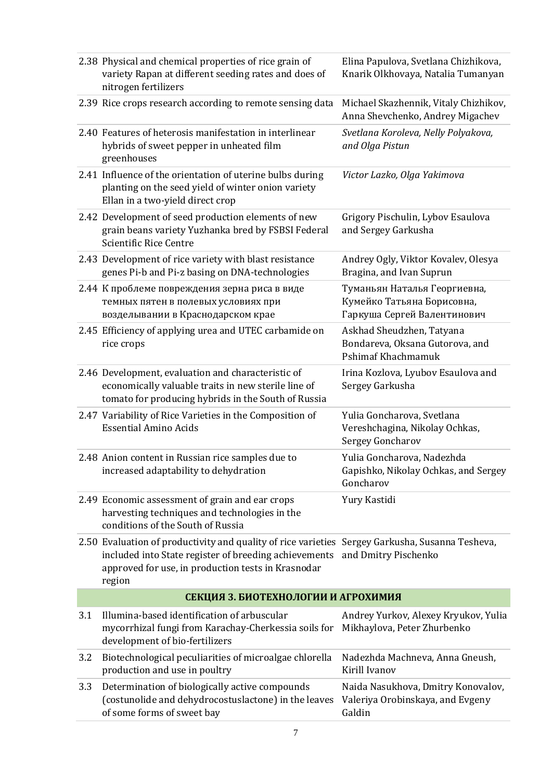|     | 2.38 Physical and chemical properties of rice grain of<br>variety Rapan at different seeding rates and does of<br>nitrogen fertilizers                                                                                   | Elina Papulova, Svetlana Chizhikova,<br>Knarik Olkhovaya, Natalia Tumanyan                |
|-----|--------------------------------------------------------------------------------------------------------------------------------------------------------------------------------------------------------------------------|-------------------------------------------------------------------------------------------|
|     | 2.39 Rice crops research according to remote sensing data                                                                                                                                                                | Michael Skazhennik, Vitaly Chizhikov,<br>Anna Shevchenko, Andrey Migachev                 |
|     | 2.40 Features of heterosis manifestation in interlinear<br>hybrids of sweet pepper in unheated film<br>greenhouses                                                                                                       | Svetlana Koroleva, Nelly Polyakova,<br>and Olga Pistun                                    |
|     | 2.41 Influence of the orientation of uterine bulbs during<br>planting on the seed yield of winter onion variety<br>Ellan in a two-yield direct crop                                                                      | Victor Lazko, Olga Yakimova                                                               |
|     | 2.42 Development of seed production elements of new<br>grain beans variety Yuzhanka bred by FSBSI Federal<br>Scientific Rice Centre                                                                                      | Grigory Pischulin, Lybov Esaulova<br>and Sergey Garkusha                                  |
|     | 2.43 Development of rice variety with blast resistance<br>genes Pi-b and Pi-z basing on DNA-technologies                                                                                                                 | Andrey Ogly, Viktor Kovalev, Olesya<br>Bragina, and Ivan Suprun                           |
|     | 2.44 К проблеме повреждения зерна риса в виде<br>темных пятен в полевых условиях при<br>возделывании в Краснодарском крае                                                                                                | Туманьян Наталья Георгиевна,<br>Кумейко Татьяна Борисовна,<br>Гаркуша Сергей Валентинович |
|     | 2.45 Efficiency of applying urea and UTEC carbamide on<br>rice crops                                                                                                                                                     | Askhad Sheudzhen, Tatyana<br>Bondareva, Oksana Gutorova, and<br>Pshimaf Khachmamuk        |
|     | 2.46 Development, evaluation and characteristic of<br>economically valuable traits in new sterile line of<br>tomato for producing hybrids in the South of Russia                                                         | Irina Kozlova, Lyubov Esaulova and<br>Sergey Garkusha                                     |
|     | 2.47 Variability of Rice Varieties in the Composition of<br><b>Essential Amino Acids</b>                                                                                                                                 | Yulia Goncharova, Svetlana<br>Vereshchagina, Nikolay Ochkas,<br>Sergey Goncharov          |
|     | 2.48 Anion content in Russian rice samples due to<br>increased adaptability to dehydration                                                                                                                               | Yulia Goncharova, Nadezhda<br>Gapishko, Nikolay Ochkas, and Sergey<br>Goncharov           |
|     | 2.49 Economic assessment of grain and ear crops<br>harvesting techniques and technologies in the<br>conditions of the South of Russia                                                                                    | Yury Kastidi                                                                              |
|     | 2.50 Evaluation of productivity and quality of rice varieties Sergey Garkusha, Susanna Tesheva,<br>included into State register of breeding achievements<br>approved for use, in production tests in Krasnodar<br>region | and Dmitry Pischenko                                                                      |
|     | СЕКЦИЯ З. БИОТЕХНОЛОГИИ И АГРОХИМИЯ                                                                                                                                                                                      |                                                                                           |
| 3.1 | Illumina-based identification of arbuscular<br>mycorrhizal fungi from Karachay-Cherkessia soils for<br>development of bio-fertilizers                                                                                    | Andrey Yurkov, Alexey Kryukov, Yulia<br>Mikhaylova, Peter Zhurbenko                       |
| 3.2 | Biotechnological peculiarities of microalgae chlorella<br>production and use in poultry                                                                                                                                  | Nadezhda Machneva, Anna Gneush,<br>Kirill Ivanov                                          |
| 3.3 | Determination of biologically active compounds<br>(costunolide and dehydrocostuslactone) in the leaves<br>of some forms of sweet bay                                                                                     | Naida Nasukhova, Dmitry Konovalov,<br>Valeriya Orobinskaya, and Evgeny<br>Galdin          |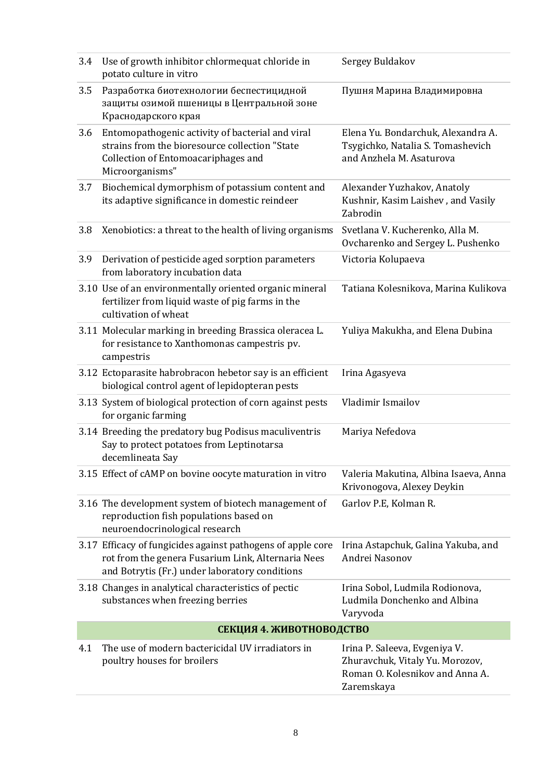| 3.4 | Use of growth inhibitor chlormequat chloride in<br>potato culture in vitro                                                                                          | Sergey Buldakov                                                                                                   |
|-----|---------------------------------------------------------------------------------------------------------------------------------------------------------------------|-------------------------------------------------------------------------------------------------------------------|
| 3.5 | Разработка биотехнологии беспестицидной<br>защиты озимой пшеницы в Центральной зоне<br>Краснодарского края                                                          | Пушня Марина Владимировна                                                                                         |
| 3.6 | Entomopathogenic activity of bacterial and viral<br>strains from the bioresource collection "State<br>Collection of Entomoacariphages and<br>Microorganisms"        | Elena Yu. Bondarchuk, Alexandra A.<br>Tsygichko, Natalia S. Tomashevich<br>and Anzhela M. Asaturova               |
| 3.7 | Biochemical dymorphism of potassium content and<br>its adaptive significance in domestic reindeer                                                                   | Alexander Yuzhakov, Anatoly<br>Kushnir, Kasim Laishev, and Vasily<br>Zabrodin                                     |
| 3.8 | Xenobiotics: a threat to the health of living organisms                                                                                                             | Svetlana V. Kucherenko, Alla M.<br>Ovcharenko and Sergey L. Pushenko                                              |
| 3.9 | Derivation of pesticide aged sorption parameters<br>from laboratory incubation data                                                                                 | Victoria Kolupaeva                                                                                                |
|     | 3.10 Use of an environmentally oriented organic mineral<br>fertilizer from liquid waste of pig farms in the<br>cultivation of wheat                                 | Tatiana Kolesnikova, Marina Kulikova                                                                              |
|     | 3.11 Molecular marking in breeding Brassica oleracea L.<br>for resistance to Xanthomonas campestris pv.<br>campestris                                               | Yuliya Makukha, and Elena Dubina                                                                                  |
|     | 3.12 Ectoparasite habrobracon hebetor say is an efficient<br>biological control agent of lepidopteran pests                                                         | Irina Agasyeva                                                                                                    |
|     | 3.13 System of biological protection of corn against pests<br>for organic farming                                                                                   | Vladimir Ismailov                                                                                                 |
|     | 3.14 Breeding the predatory bug Podisus maculiventris<br>Say to protect potatoes from Leptinotarsa<br>decemlineata Say                                              | Mariya Nefedova                                                                                                   |
|     | 3.15 Effect of cAMP on bovine oocyte maturation in vitro                                                                                                            | Valeria Makutina, Albina Isaeva, Anna<br>Krivonogova, Alexey Deykin                                               |
|     | 3.16 The development system of biotech management of<br>reproduction fish populations based on<br>neuroendocrinological research                                    | Garlov P.E, Kolman R.                                                                                             |
|     | 3.17 Efficacy of fungicides against pathogens of apple core<br>rot from the genera Fusarium Link, Alternaria Nees<br>and Botrytis (Fr.) under laboratory conditions | Irina Astapchuk, Galina Yakuba, and<br>Andrei Nasonov                                                             |
|     | 3.18 Changes in analytical characteristics of pectic<br>substances when freezing berries                                                                            | Irina Sobol, Ludmila Rodionova,<br>Ludmila Donchenko and Albina<br>Varyvoda                                       |
|     | СЕКЦИЯ 4. ЖИВОТНОВОДСТВО                                                                                                                                            |                                                                                                                   |
| 4.1 | The use of modern bactericidal UV irradiators in<br>poultry houses for broilers                                                                                     | Irina P. Saleeva, Evgeniya V.<br>Zhuravchuk, Vitaly Yu. Morozov,<br>Roman O. Kolesnikov and Anna A.<br>Zaremskaya |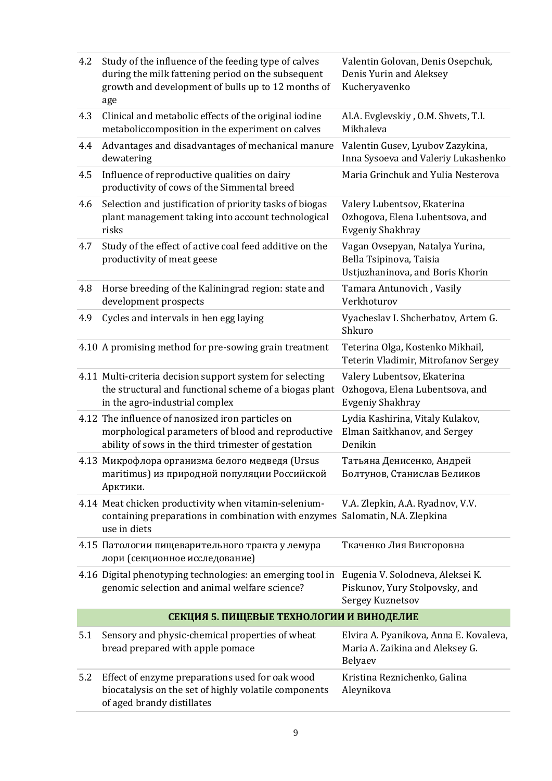| 4.2 | Study of the influence of the feeding type of calves<br>during the milk fattening period on the subsequent<br>growth and development of bulls up to 12 months of<br>age | Valentin Golovan, Denis Osepchuk,<br>Denis Yurin and Aleksey<br>Kucheryavenko                  |
|-----|-------------------------------------------------------------------------------------------------------------------------------------------------------------------------|------------------------------------------------------------------------------------------------|
| 4.3 | Clinical and metabolic effects of the original iodine<br>metaboliccomposition in the experiment on calves                                                               | Al.A. Evglevskiy, O.M. Shvets, T.I.<br>Mikhaleva                                               |
| 4.4 | Advantages and disadvantages of mechanical manure<br>dewatering                                                                                                         | Valentin Gusev, Lyubov Zazykina,<br>Inna Sysoeva and Valeriy Lukashenko                        |
| 4.5 | Influence of reproductive qualities on dairy<br>productivity of cows of the Simmental breed                                                                             | Maria Grinchuk and Yulia Nesterova                                                             |
| 4.6 | Selection and justification of priority tasks of biogas<br>plant management taking into account technological<br>risks                                                  | Valery Lubentsov, Ekaterina<br>Ozhogova, Elena Lubentsova, and<br><b>Evgeniy Shakhray</b>      |
| 4.7 | Study of the effect of active coal feed additive on the<br>productivity of meat geese                                                                                   | Vagan Ovsepyan, Natalya Yurina,<br>Bella Tsipinova, Taisia<br>Ustjuzhaninova, and Boris Khorin |
| 4.8 | Horse breeding of the Kaliningrad region: state and<br>development prospects                                                                                            | Tamara Antunovich, Vasily<br>Verkhoturov                                                       |
| 4.9 | Cycles and intervals in hen egg laying                                                                                                                                  | Vyacheslav I. Shcherbatov, Artem G.<br>Shkuro                                                  |
|     | 4.10 A promising method for pre-sowing grain treatment                                                                                                                  | Teterina Olga, Kostenko Mikhail,<br>Teterin Vladimir, Mitrofanov Sergey                        |
|     | 4.11 Multi-criteria decision support system for selecting<br>the structural and functional scheme of a biogas plant<br>in the agro-industrial complex                   | Valery Lubentsov, Ekaterina<br>Ozhogova, Elena Lubentsova, and<br><b>Evgeniy Shakhray</b>      |
|     | 4.12 The influence of nanosized iron particles on<br>morphological parameters of blood and reproductive<br>ability of sows in the third trimester of gestation          | Lydia Kashirina, Vitaly Kulakov,<br>Elman Saitkhanov, and Sergey<br>Denikin                    |
|     | 4.13 Микрофлора организма белого медведя (Ursus<br>maritimus) из природной популяции Российской<br>Арктики.                                                             | Татьяна Денисенко, Андрей<br>Болтунов, Станислав Беликов                                       |
|     | 4.14 Meat chicken productivity when vitamin-selenium-<br>containing preparations in combination with enzymes Salomatin, N.A. Zlepkina<br>use in diets                   | V.A. Zlepkin, A.A. Ryadnov, V.V.                                                               |
|     | 4.15 Патологии пищеварительного тракта у лемура<br>лори (секционное исследование)                                                                                       | Ткаченко Лия Викторовна                                                                        |
|     | 4.16 Digital phenotyping technologies: an emerging tool in<br>genomic selection and animal welfare science?                                                             | Eugenia V. Solodneva, Aleksei K.<br>Piskunov, Yury Stolpovsky, and<br>Sergey Kuznetsov         |
|     | СЕКЦИЯ 5. ПИЩЕВЫЕ ТЕХНОЛОГИИ И ВИНОДЕЛИЕ                                                                                                                                |                                                                                                |
| 5.1 | Sensory and physic-chemical properties of wheat<br>bread prepared with apple pomace                                                                                     | Elvira A. Pyanikova, Anna E. Kovaleva,<br>Maria A. Zaikina and Aleksey G.<br>Belyaev           |
| 5.2 | Effect of enzyme preparations used for oak wood<br>biocatalysis on the set of highly volatile components<br>of aged brandy distillates                                  | Kristina Reznichenko, Galina<br>Aleynikova                                                     |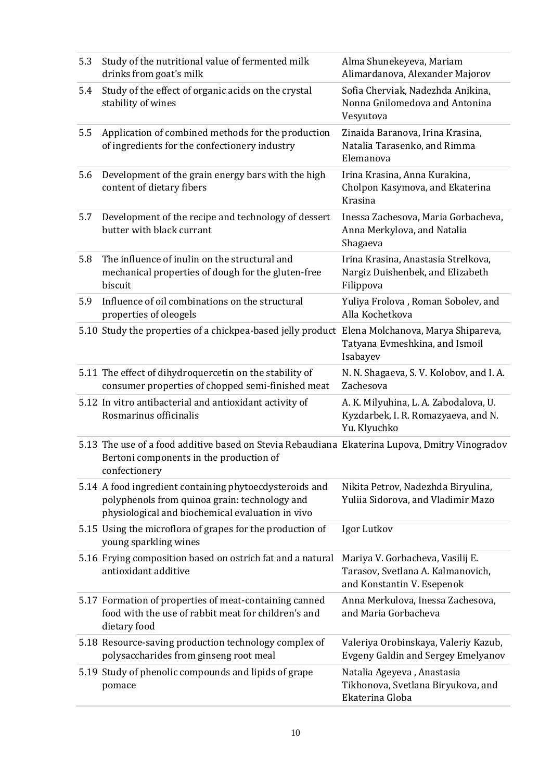| 5.3 | Study of the nutritional value of fermented milk<br>drinks from goat's milk                                                                                  | Alma Shunekeyeva, Mariam<br>Alimardanova, Alexander Majorov                                         |
|-----|--------------------------------------------------------------------------------------------------------------------------------------------------------------|-----------------------------------------------------------------------------------------------------|
| 5.4 | Study of the effect of organic acids on the crystal<br>stability of wines                                                                                    | Sofia Cherviak, Nadezhda Anikina,<br>Nonna Gnilomedova and Antonina<br>Vesyutova                    |
| 5.5 | Application of combined methods for the production<br>of ingredients for the confectionery industry                                                          | Zinaida Baranova, Irina Krasina,<br>Natalia Tarasenko, and Rimma<br>Elemanova                       |
| 5.6 | Development of the grain energy bars with the high<br>content of dietary fibers                                                                              | Irina Krasina, Anna Kurakina,<br>Cholpon Kasymova, and Ekaterina<br>Krasina                         |
| 5.7 | Development of the recipe and technology of dessert<br>butter with black currant                                                                             | Inessa Zachesova, Maria Gorbacheva,<br>Anna Merkylova, and Natalia<br>Shagaeva                      |
| 5.8 | The influence of inulin on the structural and<br>mechanical properties of dough for the gluten-free<br>biscuit                                               | Irina Krasina, Anastasia Strelkova,<br>Nargiz Duishenbek, and Elizabeth<br>Filippova                |
| 5.9 | Influence of oil combinations on the structural<br>properties of oleogels                                                                                    | Yuliya Frolova, Roman Sobolev, and<br>Alla Kochetkova                                               |
|     | 5.10 Study the properties of a chickpea-based jelly product Elena Molchanova, Marya Shipareva,                                                               | Tatyana Evmeshkina, and Ismoil<br>Isabayev                                                          |
|     | 5.11 The effect of dihydroquercetin on the stability of<br>consumer properties of chopped semi-finished meat                                                 | N. N. Shagaeva, S. V. Kolobov, and I. A.<br>Zachesova                                               |
|     | 5.12 In vitro antibacterial and antioxidant activity of<br>Rosmarinus officinalis                                                                            | A. K. Milyuhina, L. A. Zabodalova, U.<br>Kyzdarbek, I. R. Romazyaeva, and N.<br>Yu. Klyuchko        |
|     | 5.13 The use of a food additive based on Stevia Rebaudiana Ekaterina Lupova, Dmitry Vinogradov<br>Bertoni components in the production of<br>confectionery   |                                                                                                     |
|     | 5.14 A food ingredient containing phytoecdysteroids and<br>polyphenols from quinoa grain: technology and<br>physiological and biochemical evaluation in vivo | Nikita Petrov, Nadezhda Biryulina,<br>Yuliia Sidorova, and Vladimir Mazo                            |
|     | 5.15 Using the microflora of grapes for the production of<br>young sparkling wines                                                                           | Igor Lutkov                                                                                         |
|     | 5.16 Frying composition based on ostrich fat and a natural<br>antioxidant additive                                                                           | Mariya V. Gorbacheva, Vasilij E.<br>Tarasov, Svetlana A. Kalmanovich,<br>and Konstantin V. Esepenok |
|     | 5.17 Formation of properties of meat-containing canned<br>food with the use of rabbit meat for children's and<br>dietary food                                | Anna Merkulova, Inessa Zachesova,<br>and Maria Gorbacheva                                           |
|     | 5.18 Resource-saving production technology complex of<br>polysaccharides from ginseng root meal                                                              | Valeriya Orobinskaya, Valeriy Kazub,<br><b>Evgeny Galdin and Sergey Emelyanov</b>                   |
|     | 5.19 Study of phenolic compounds and lipids of grape<br>pomace                                                                                               | Natalia Ageyeva, Anastasia<br>Tikhonova, Svetlana Biryukova, and<br>Ekaterina Globa                 |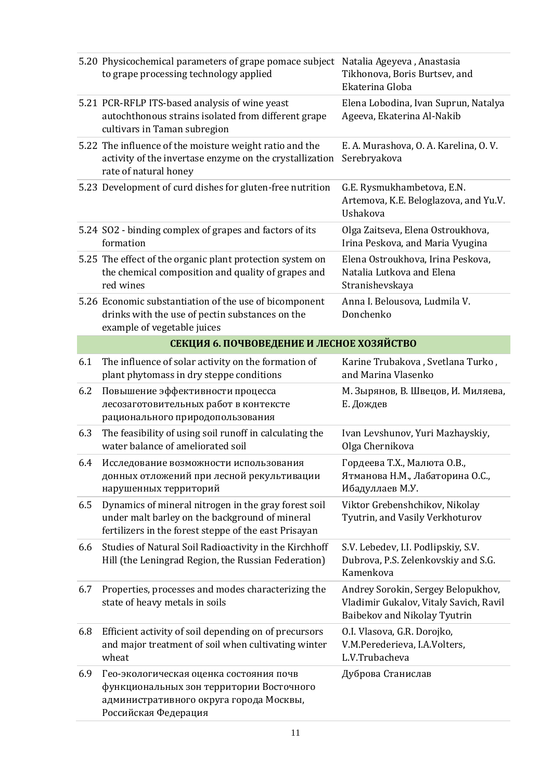|     | 5.20 Physicochemical parameters of grape pomace subject<br>to grape processing technology applied                                                               | Natalia Ageyeva, Anastasia<br>Tikhonova, Boris Burtsev, and<br>Ekaterina Globa                               |
|-----|-----------------------------------------------------------------------------------------------------------------------------------------------------------------|--------------------------------------------------------------------------------------------------------------|
|     | 5.21 PCR-RFLP ITS-based analysis of wine yeast<br>autochthonous strains isolated from different grape<br>cultivars in Taman subregion                           | Elena Lobodina, Ivan Suprun, Natalya<br>Ageeva, Ekaterina Al-Nakib                                           |
|     | 5.22 The influence of the moisture weight ratio and the<br>activity of the invertase enzyme on the crystallization<br>rate of natural honey                     | E. A. Murashova, O. A. Karelina, O. V.<br>Serebryakova                                                       |
|     | 5.23 Development of curd dishes for gluten-free nutrition                                                                                                       | G.E. Rysmukhambetova, E.N.<br>Artemova, K.E. Beloglazova, and Yu.V.<br>Ushakova                              |
|     | 5.24 SO2 - binding complex of grapes and factors of its<br>formation                                                                                            | Olga Zaitseva, Elena Ostroukhova,<br>Irina Peskova, and Maria Vyugina                                        |
|     | 5.25 The effect of the organic plant protection system on<br>the chemical composition and quality of grapes and<br>red wines                                    | Elena Ostroukhova, Irina Peskova,<br>Natalia Lutkova and Elena<br>Stranishevskaya                            |
|     | 5.26 Economic substantiation of the use of bicomponent<br>drinks with the use of pectin substances on the<br>example of vegetable juices                        | Anna I. Belousova, Ludmila V.<br>Donchenko                                                                   |
|     | СЕКЦИЯ 6. ПОЧВОВЕДЕНИЕ И ЛЕСНОЕ ХОЗЯЙСТВО                                                                                                                       |                                                                                                              |
| 6.1 | The influence of solar activity on the formation of<br>plant phytomass in dry steppe conditions                                                                 | Karine Trubakova, Svetlana Turko,<br>and Marina Vlasenko                                                     |
| 6.2 | Повышение эффективности процесса<br>лесозаготовительных работ в контексте<br>рационального природопользования                                                   | М. Зырянов, В. Швецов, И. Миляева,<br>Е. Дождев                                                              |
| 6.3 | The feasibility of using soil runoff in calculating the<br>water balance of ameliorated soil                                                                    | Ivan Levshunov, Yuri Mazhayskiy,<br>Olga Chernikova                                                          |
| 6.4 | Исследование возможности использования<br>донных отложений при лесной рекультивации<br>нарушенных территорий                                                    | Гордеева Т.Х., Малюта О.В.,<br>Ятманова Н.М., Лабаторина О.С.,<br>Ибадуллаев М.У.                            |
| 6.5 | Dynamics of mineral nitrogen in the gray forest soil<br>under malt barley on the background of mineral<br>fertilizers in the forest steppe of the east Prisayan | Viktor Grebenshchikov, Nikolay<br>Tyutrin, and Vasily Verkhoturov                                            |
| 6.6 | Studies of Natural Soil Radioactivity in the Kirchhoff<br>Hill (the Leningrad Region, the Russian Federation)                                                   | S.V. Lebedev, I.I. Podlipskiy, S.V.<br>Dubrova, P.S. Zelenkovskiy and S.G.<br>Kamenkova                      |
| 6.7 | Properties, processes and modes characterizing the<br>state of heavy metals in soils                                                                            | Andrey Sorokin, Sergey Belopukhov,<br>Vladimir Gukalov, Vitaly Savich, Ravil<br>Baibekov and Nikolay Tyutrin |
| 6.8 | Efficient activity of soil depending on of precursors<br>and major treatment of soil when cultivating winter<br>wheat                                           | O.I. Vlasova, G.R. Dorojko,<br>V.M.Perederieva, I.A.Volters,<br>L.V.Trubacheva                               |
| 6.9 | Гео-экологическая оценка состояния почв<br>функциональных зон территории Восточного<br>административного округа города Москвы,<br>Российская Федерация          | Дуброва Станислав                                                                                            |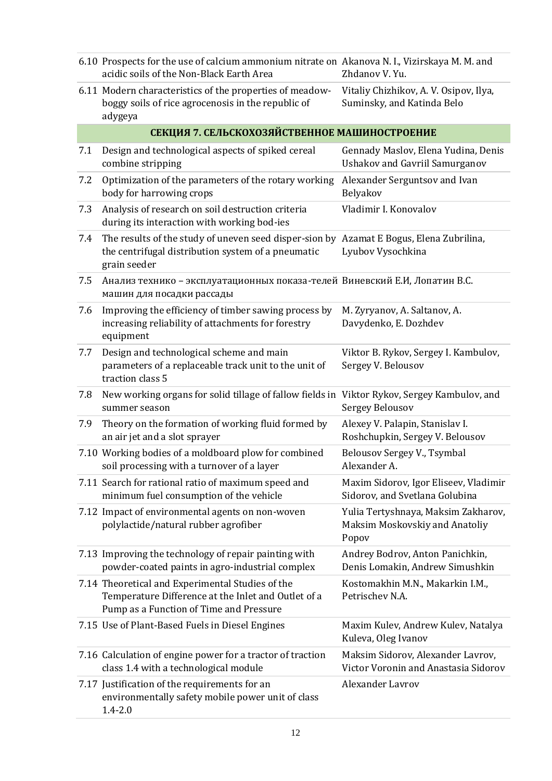|     | 6.10 Prospects for the use of calcium ammonium nitrate on Akanova N. I., Vizirskaya M. M. and<br>acidic soils of the Non-Black Earth Area                     | Zhdanov V. Yu.                                                                 |
|-----|---------------------------------------------------------------------------------------------------------------------------------------------------------------|--------------------------------------------------------------------------------|
|     | 6.11 Modern characteristics of the properties of meadow-<br>boggy soils of rice agrocenosis in the republic of<br>adygeya                                     | Vitaliy Chizhikov, A. V. Osipov, Ilya,<br>Suminsky, and Katinda Belo           |
|     | СЕКЦИЯ 7. СЕЛЬСКОХОЗЯЙСТВЕННОЕ МАШИНОСТРОЕНИЕ                                                                                                                 |                                                                                |
| 7.1 | Design and technological aspects of spiked cereal<br>combine stripping                                                                                        | Gennady Maslov, Elena Yudina, Denis<br><b>Ushakov and Gavriil Samurganov</b>   |
| 7.2 | Optimization of the parameters of the rotary working<br>body for harrowing crops                                                                              | Alexander Serguntsov and Ivan<br>Belyakov                                      |
| 7.3 | Analysis of research on soil destruction criteria<br>during its interaction with working bod-ies                                                              | Vladimir I. Konovalov                                                          |
| 7.4 | The results of the study of uneven seed disper-sion by Azamat E Bogus, Elena Zubrilina,<br>the centrifugal distribution system of a pneumatic<br>grain seeder | Lyubov Vysochkina                                                              |
| 7.5 | Анализ технико - эксплуатационных показа-телей Виневский Е.И, Лопатин В.С.<br>машин для посадки рассады                                                       |                                                                                |
| 7.6 | Improving the efficiency of timber sawing process by<br>increasing reliability of attachments for forestry<br>equipment                                       | M. Zyryanov, A. Saltanov, A.<br>Davydenko, E. Dozhdev                          |
| 7.7 | Design and technological scheme and main<br>parameters of a replaceable track unit to the unit of<br>traction class 5                                         | Viktor B. Rykov, Sergey I. Kambulov,<br>Sergey V. Belousov                     |
| 7.8 | New working organs for solid tillage of fallow fields in Viktor Rykov, Sergey Kambulov, and<br>summer season                                                  | Sergey Belousov                                                                |
| 7.9 | Theory on the formation of working fluid formed by<br>an air jet and a slot sprayer                                                                           | Alexey V. Palapin, Stanislav I.<br>Roshchupkin, Sergey V. Belousov             |
|     | 7.10 Working bodies of a moldboard plow for combined<br>soil processing with a turnover of a layer                                                            | Belousov Sergey V., Tsymbal<br>Alexander A.                                    |
|     | 7.11 Search for rational ratio of maximum speed and<br>minimum fuel consumption of the vehicle                                                                | Maxim Sidorov, Igor Eliseev, Vladimir<br>Sidorov, and Svetlana Golubina        |
|     | 7.12 Impact of environmental agents on non-woven<br>polylactide/natural rubber agrofiber                                                                      | Yulia Tertyshnaya, Maksim Zakharov,<br>Maksim Moskovskiy and Anatoliy<br>Popov |
|     | 7.13 Improving the technology of repair painting with<br>powder-coated paints in agro-industrial complex                                                      | Andrey Bodrov, Anton Panichkin,<br>Denis Lomakin, Andrew Simushkin             |
|     | 7.14 Theoretical and Experimental Studies of the<br>Temperature Difference at the Inlet and Outlet of a<br>Pump as a Function of Time and Pressure            | Kostomakhin M.N., Makarkin I.M.,<br>Petrischev N.A.                            |
|     | 7.15 Use of Plant-Based Fuels in Diesel Engines                                                                                                               | Maxim Kulev, Andrew Kulev, Natalya<br>Kuleva, Oleg Ivanov                      |
|     | 7.16 Calculation of engine power for a tractor of traction<br>class 1.4 with a technological module                                                           | Maksim Sidorov, Alexander Lavrov,<br>Victor Voronin and Anastasia Sidorov      |
|     | 7.17 Justification of the requirements for an<br>environmentally safety mobile power unit of class<br>$1.4 - 2.0$                                             | <b>Alexander Lavrov</b>                                                        |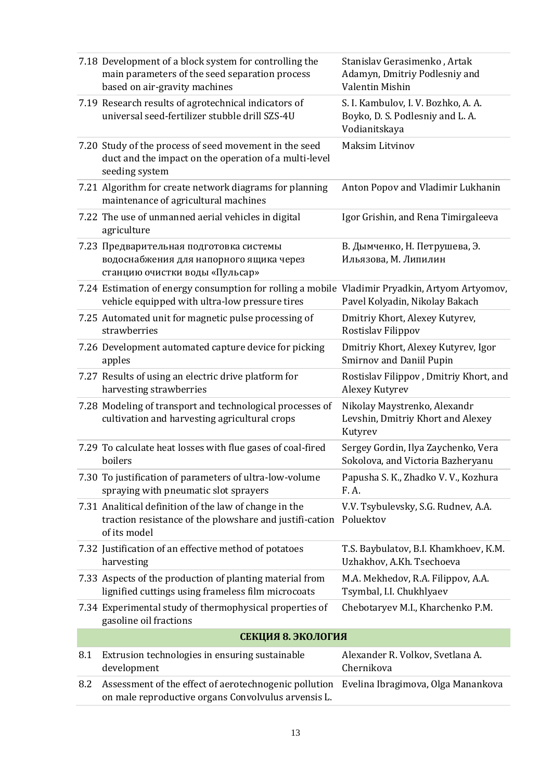|     | 7.18 Development of a block system for controlling the<br>main parameters of the seed separation process<br>based on air-gravity machines        | Stanislav Gerasimenko, Artak<br>Adamyn, Dmitriy Podlesniy and<br>Valentin Mishin         |
|-----|--------------------------------------------------------------------------------------------------------------------------------------------------|------------------------------------------------------------------------------------------|
|     | 7.19 Research results of agrotechnical indicators of<br>universal seed-fertilizer stubble drill SZS-4U                                           | S. I. Kambulov, I. V. Bozhko, A. A.<br>Boyko, D. S. Podlesniy and L. A.<br>Vodianitskaya |
|     | 7.20 Study of the process of seed movement in the seed<br>duct and the impact on the operation of a multi-level<br>seeding system                | <b>Maksim Litvinov</b>                                                                   |
|     | 7.21 Algorithm for create network diagrams for planning<br>maintenance of agricultural machines                                                  | Anton Popov and Vladimir Lukhanin                                                        |
|     | 7.22 The use of unmanned aerial vehicles in digital<br>agriculture                                                                               | Igor Grishin, and Rena Timirgaleeva                                                      |
|     | 7.23 Предварительная подготовка системы<br>водоснабжения для напорного ящика через<br>станцию очистки воды «Пульсар»                             | В. Дымченко, Н. Петрушева, Э.<br>Ильязова, М. Липилин                                    |
|     | 7.24 Estimation of energy consumption for rolling a mobile Vladimir Pryadkin, Artyom Artyomov,<br>vehicle equipped with ultra-low pressure tires | Pavel Kolyadin, Nikolay Bakach                                                           |
|     | 7.25 Automated unit for magnetic pulse processing of<br>strawberries                                                                             | Dmitriy Khort, Alexey Kutyrev,<br>Rostislav Filippov                                     |
|     | 7.26 Development automated capture device for picking<br>apples                                                                                  | Dmitriy Khort, Alexey Kutyrev, Igor<br><b>Smirnov and Daniil Pupin</b>                   |
|     | 7.27 Results of using an electric drive platform for<br>harvesting strawberries                                                                  | Rostislav Filippov, Dmitriy Khort, and<br>Alexey Kutyrev                                 |
|     | 7.28 Modeling of transport and technological processes of<br>cultivation and harvesting agricultural crops                                       | Nikolay Maystrenko, Alexandr<br>Levshin, Dmitriy Khort and Alexey<br>Kutyrev             |
|     | 7.29 To calculate heat losses with flue gases of coal-fired<br>boilers                                                                           | Sergey Gordin, Ilya Zaychenko, Vera<br>Sokolova, and Victoria Bazheryanu                 |
|     | 7.30 To justification of parameters of ultra-low-volume<br>spraying with pneumatic slot sprayers                                                 | Papusha S. K., Zhadko V. V., Kozhura<br>F. A.                                            |
|     | 7.31 Analitical definition of the law of change in the<br>traction resistance of the plowshare and justifi-cation<br>of its model                | V.V. Tsybulevsky, S.G. Rudnev, A.A.<br>Poluektov                                         |
|     | 7.32 Justification of an effective method of potatoes<br>harvesting                                                                              | T.S. Baybulatov, B.I. Khamkhoev, K.M.<br>Uzhakhov, A.Kh. Tsechoeva                       |
|     | 7.33 Aspects of the production of planting material from<br>lignified cuttings using frameless film microcoats                                   | M.A. Mekhedov, R.A. Filippov, A.A.<br>Tsymbal, I.I. Chukhlyaev                           |
|     | 7.34 Experimental study of thermophysical properties of<br>gasoline oil fractions                                                                | Chebotaryev M.I., Kharchenko P.M.                                                        |
|     | СЕКЦИЯ 8. ЭКОЛОГИЯ                                                                                                                               |                                                                                          |
| 8.1 | Extrusion technologies in ensuring sustainable<br>development                                                                                    | Alexander R. Volkov, Svetlana A.<br>Chernikova                                           |
| 8.2 | Assessment of the effect of aerotechnogenic pollution<br>on male reproductive organs Convolvulus arvensis L.                                     | Evelina Ibragimova, Olga Manankova                                                       |